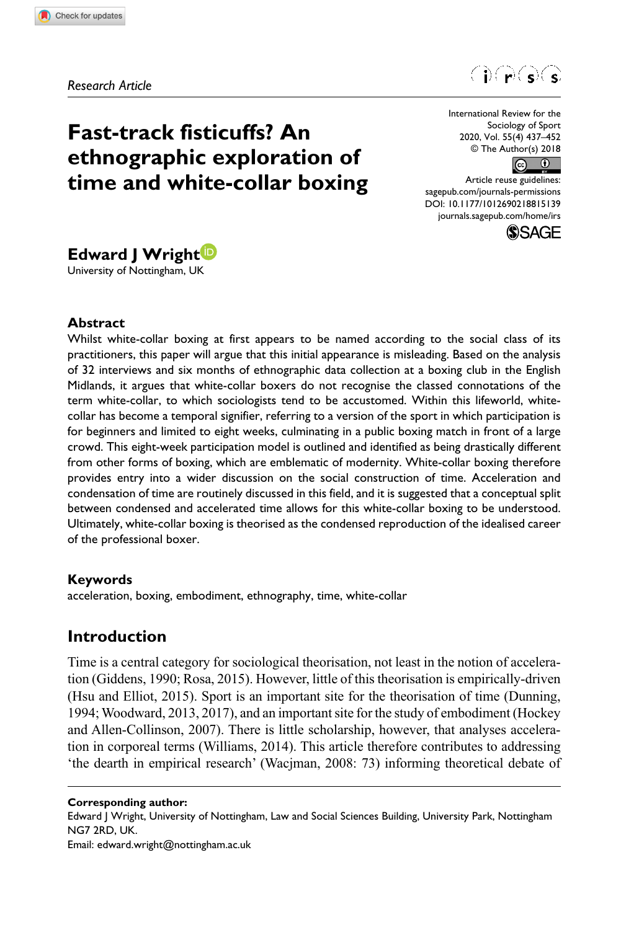**8151[39](http://crossmark.crossref.org/dialog/?doi=10.1177%2F1012690218815139&domain=pdf&date_stamp=2018-11-29)**IRS0010.1177/1012690218815139International Review for the Sociology of Sport**Wright**

*Research Article*



# **Fast-track fisticuffs? An ethnographic exploration of time and white-collar boxing**

International Review for the Sociology of Sport 2020, Vol. 55(4) 437–452 © The Author(s) 2018



DOI: 10.1177/1012690218815139 Article reuse guidelines: [sagepub.com/journals-permissions](https://uk.sagepub.com/en-gb/journals-permissions) [journals.sagepub.com/home/irs](https://journals.sagepub.com/home/irs)



# **Edward J Wright**

University of Nottingham, UK

#### **Abstract**

Whilst white-collar boxing at first appears to be named according to the social class of its practitioners, this paper will argue that this initial appearance is misleading. Based on the analysis of 32 interviews and six months of ethnographic data collection at a boxing club in the English Midlands, it argues that white-collar boxers do not recognise the classed connotations of the term white-collar, to which sociologists tend to be accustomed. Within this lifeworld, whitecollar has become a temporal signifier, referring to a version of the sport in which participation is for beginners and limited to eight weeks, culminating in a public boxing match in front of a large crowd. This eight-week participation model is outlined and identified as being drastically different from other forms of boxing, which are emblematic of modernity. White-collar boxing therefore provides entry into a wider discussion on the social construction of time. Acceleration and condensation of time are routinely discussed in this field, and it is suggested that a conceptual split between condensed and accelerated time allows for this white-collar boxing to be understood. Ultimately, white-collar boxing is theorised as the condensed reproduction of the idealised career of the professional boxer.

#### **Keywords**

acceleration, boxing, embodiment, ethnography, time, white-collar

# **Introduction**

Time is a central category for sociological theorisation, not least in the notion of acceleration (Giddens, 1990; Rosa, 2015). However, little of this theorisation is empirically-driven (Hsu and Elliot, 2015). Sport is an important site for the theorisation of time (Dunning, 1994; Woodward, 2013, 2017), and an important site for the study of embodiment (Hockey and Allen-Collinson, 2007). There is little scholarship, however, that analyses acceleration in corporeal terms (Williams, 2014). This article therefore contributes to addressing 'the dearth in empirical research' (Wacjman, 2008: 73) informing theoretical debate of

**Corresponding author:** Edward J Wright, University of Nottingham, Law and Social Sciences Building, University Park, Nottingham NG7 2RD, UK. Email: [edward.wright@nottingham.ac.uk](mailto:edward.wright@nottingham.ac.uk)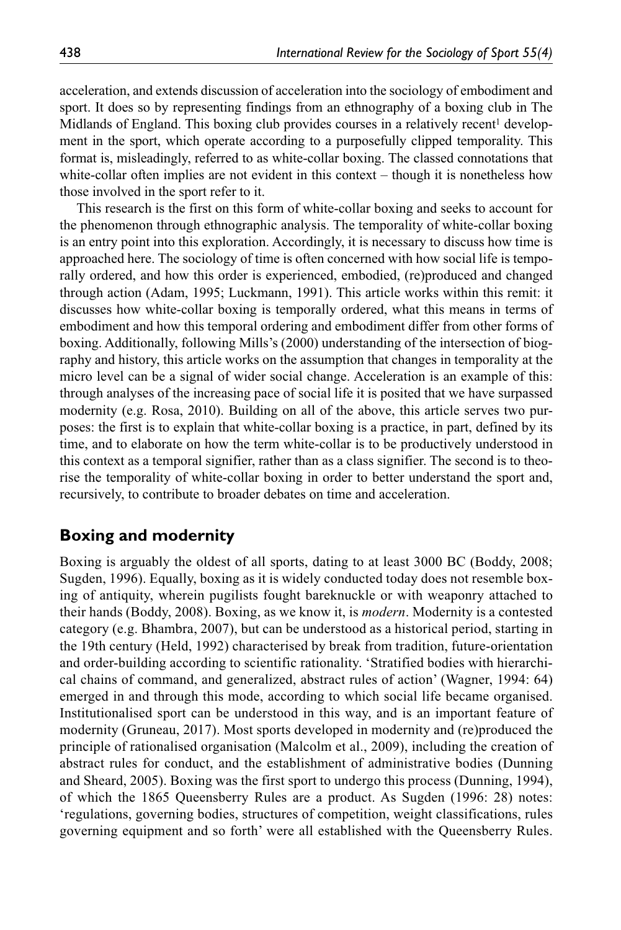acceleration, and extends discussion of acceleration into the sociology of embodiment and sport. It does so by representing findings from an ethnography of a boxing club in The Midlands of England. This boxing club provides courses in a relatively recent<sup>1</sup> development in the sport, which operate according to a purposefully clipped temporality. This format is, misleadingly, referred to as white-collar boxing. The classed connotations that white-collar often implies are not evident in this context – though it is nonetheless how those involved in the sport refer to it.

This research is the first on this form of white-collar boxing and seeks to account for the phenomenon through ethnographic analysis. The temporality of white-collar boxing is an entry point into this exploration. Accordingly, it is necessary to discuss how time is approached here. The sociology of time is often concerned with how social life is temporally ordered, and how this order is experienced, embodied, (re)produced and changed through action (Adam, 1995; Luckmann, 1991). This article works within this remit: it discusses how white-collar boxing is temporally ordered, what this means in terms of embodiment and how this temporal ordering and embodiment differ from other forms of boxing. Additionally, following Mills's (2000) understanding of the intersection of biography and history, this article works on the assumption that changes in temporality at the micro level can be a signal of wider social change. Acceleration is an example of this: through analyses of the increasing pace of social life it is posited that we have surpassed modernity (e.g. Rosa, 2010). Building on all of the above, this article serves two purposes: the first is to explain that white-collar boxing is a practice, in part, defined by its time, and to elaborate on how the term white-collar is to be productively understood in this context as a temporal signifier, rather than as a class signifier. The second is to theorise the temporality of white-collar boxing in order to better understand the sport and, recursively, to contribute to broader debates on time and acceleration.

# **Boxing and modernity**

Boxing is arguably the oldest of all sports, dating to at least 3000 BC (Boddy, 2008; Sugden, 1996). Equally, boxing as it is widely conducted today does not resemble boxing of antiquity, wherein pugilists fought bareknuckle or with weaponry attached to their hands (Boddy, 2008). Boxing, as we know it, is *modern*. Modernity is a contested category (e.g. Bhambra, 2007), but can be understood as a historical period, starting in the 19th century (Held, 1992) characterised by break from tradition, future-orientation and order-building according to scientific rationality. 'Stratified bodies with hierarchical chains of command, and generalized, abstract rules of action' (Wagner, 1994: 64) emerged in and through this mode, according to which social life became organised. Institutionalised sport can be understood in this way, and is an important feature of modernity (Gruneau, 2017). Most sports developed in modernity and (re)produced the principle of rationalised organisation (Malcolm et al., 2009), including the creation of abstract rules for conduct, and the establishment of administrative bodies (Dunning and Sheard, 2005). Boxing was the first sport to undergo this process (Dunning, 1994), of which the 1865 Queensberry Rules are a product. As Sugden (1996: 28) notes: 'regulations, governing bodies, structures of competition, weight classifications, rules governing equipment and so forth' were all established with the Queensberry Rules.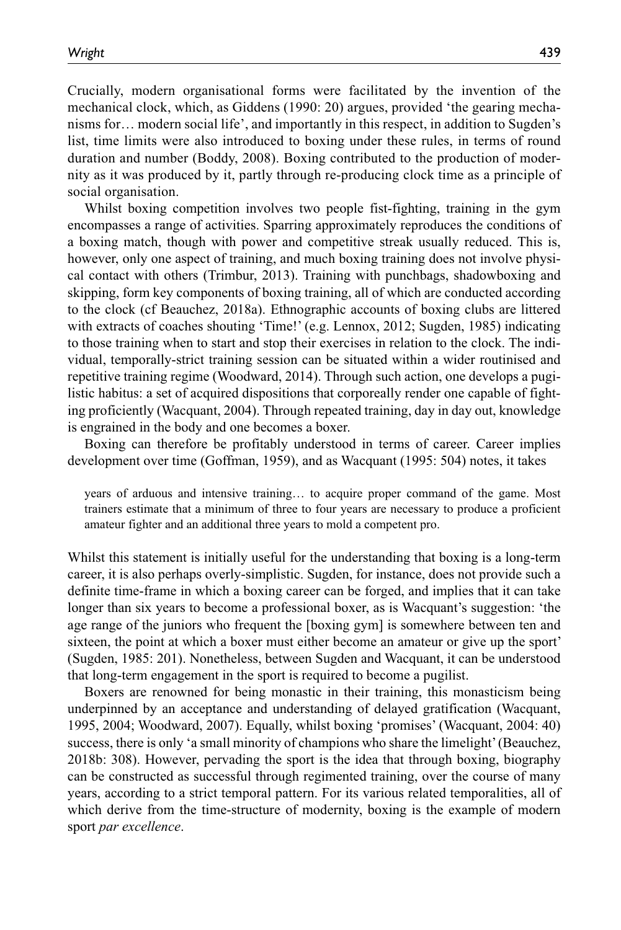Crucially, modern organisational forms were facilitated by the invention of the mechanical clock, which, as Giddens (1990: 20) argues, provided 'the gearing mechanisms for… modern social life', and importantly in this respect, in addition to Sugden's list, time limits were also introduced to boxing under these rules, in terms of round duration and number (Boddy, 2008). Boxing contributed to the production of modernity as it was produced by it, partly through re-producing clock time as a principle of social organisation.

Whilst boxing competition involves two people fist-fighting, training in the gym encompasses a range of activities. Sparring approximately reproduces the conditions of a boxing match, though with power and competitive streak usually reduced. This is, however, only one aspect of training, and much boxing training does not involve physical contact with others (Trimbur, 2013). Training with punchbags, shadowboxing and skipping, form key components of boxing training, all of which are conducted according to the clock (cf Beauchez, 2018a). Ethnographic accounts of boxing clubs are littered with extracts of coaches shouting 'Time!' (e.g. Lennox, 2012; Sugden, 1985) indicating to those training when to start and stop their exercises in relation to the clock. The individual, temporally-strict training session can be situated within a wider routinised and repetitive training regime (Woodward, 2014). Through such action, one develops a pugilistic habitus: a set of acquired dispositions that corporeally render one capable of fighting proficiently (Wacquant, 2004). Through repeated training, day in day out, knowledge is engrained in the body and one becomes a boxer.

Boxing can therefore be profitably understood in terms of career. Career implies development over time (Goffman, 1959), and as Wacquant (1995: 504) notes, it takes

years of arduous and intensive training… to acquire proper command of the game. Most trainers estimate that a minimum of three to four years are necessary to produce a proficient amateur fighter and an additional three years to mold a competent pro.

Whilst this statement is initially useful for the understanding that boxing is a long-term career, it is also perhaps overly-simplistic. Sugden, for instance, does not provide such a definite time-frame in which a boxing career can be forged, and implies that it can take longer than six years to become a professional boxer, as is Wacquant's suggestion: 'the age range of the juniors who frequent the [boxing gym] is somewhere between ten and sixteen, the point at which a boxer must either become an amateur or give up the sport' (Sugden, 1985: 201). Nonetheless, between Sugden and Wacquant, it can be understood that long-term engagement in the sport is required to become a pugilist.

Boxers are renowned for being monastic in their training, this monasticism being underpinned by an acceptance and understanding of delayed gratification (Wacquant, 1995, 2004; Woodward, 2007). Equally, whilst boxing 'promises' (Wacquant, 2004: 40) success, there is only 'a small minority of champions who share the limelight' (Beauchez, 2018b: 308). However, pervading the sport is the idea that through boxing, biography can be constructed as successful through regimented training, over the course of many years, according to a strict temporal pattern. For its various related temporalities, all of which derive from the time-structure of modernity, boxing is the example of modern sport *par excellence*.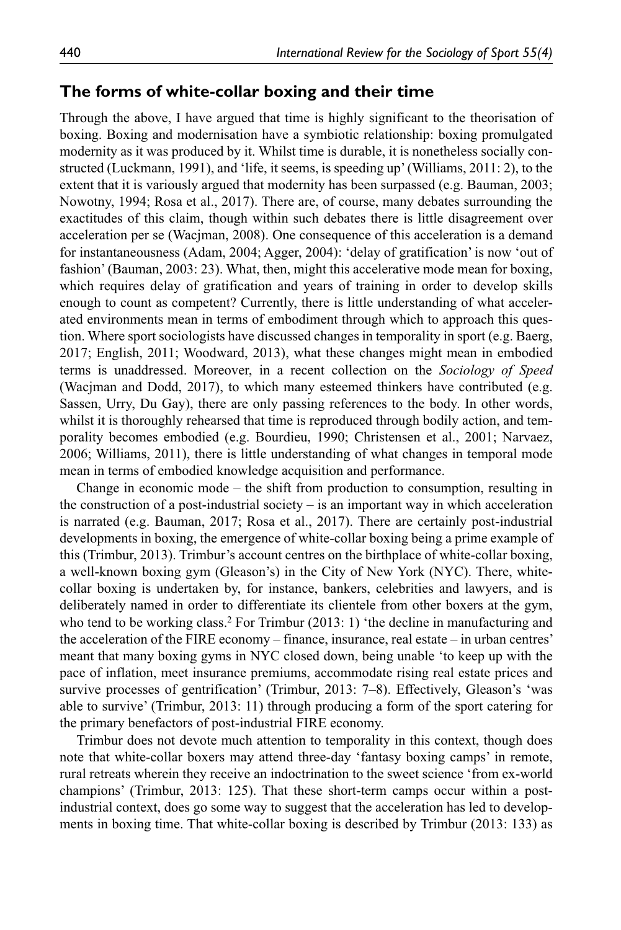#### **The forms of white-collar boxing and their time**

Through the above, I have argued that time is highly significant to the theorisation of boxing. Boxing and modernisation have a symbiotic relationship: boxing promulgated modernity as it was produced by it. Whilst time is durable, it is nonetheless socially constructed (Luckmann, 1991), and 'life, it seems, is speeding up' (Williams, 2011: 2), to the extent that it is variously argued that modernity has been surpassed (e.g. Bauman, 2003; Nowotny, 1994; Rosa et al., 2017). There are, of course, many debates surrounding the exactitudes of this claim, though within such debates there is little disagreement over acceleration per se (Wacjman, 2008). One consequence of this acceleration is a demand for instantaneousness (Adam, 2004; Agger, 2004): 'delay of gratification' is now 'out of fashion' (Bauman, 2003: 23). What, then, might this accelerative mode mean for boxing, which requires delay of gratification and years of training in order to develop skills enough to count as competent? Currently, there is little understanding of what accelerated environments mean in terms of embodiment through which to approach this question. Where sport sociologists have discussed changes in temporality in sport (e.g. Baerg, 2017; English, 2011; Woodward, 2013), what these changes might mean in embodied terms is unaddressed. Moreover, in a recent collection on the *Sociology of Speed* (Wacjman and Dodd, 2017), to which many esteemed thinkers have contributed (e.g. Sassen, Urry, Du Gay), there are only passing references to the body. In other words, whilst it is thoroughly rehearsed that time is reproduced through bodily action, and temporality becomes embodied (e.g. Bourdieu, 1990; Christensen et al., 2001; Narvaez, 2006; Williams, 2011), there is little understanding of what changes in temporal mode mean in terms of embodied knowledge acquisition and performance.

Change in economic mode – the shift from production to consumption, resulting in the construction of a post-industrial society – is an important way in which acceleration is narrated (e.g. Bauman, 2017; Rosa et al., 2017). There are certainly post-industrial developments in boxing, the emergence of white-collar boxing being a prime example of this (Trimbur, 2013). Trimbur's account centres on the birthplace of white-collar boxing, a well-known boxing gym (Gleason's) in the City of New York (NYC). There, whitecollar boxing is undertaken by, for instance, bankers, celebrities and lawyers, and is deliberately named in order to differentiate its clientele from other boxers at the gym, who tend to be working class.<sup>2</sup> For Trimbur (2013: 1) 'the decline in manufacturing and the acceleration of the FIRE economy – finance, insurance, real estate – in urban centres' meant that many boxing gyms in NYC closed down, being unable 'to keep up with the pace of inflation, meet insurance premiums, accommodate rising real estate prices and survive processes of gentrification' (Trimbur, 2013: 7–8). Effectively, Gleason's 'was able to survive' (Trimbur, 2013: 11) through producing a form of the sport catering for the primary benefactors of post-industrial FIRE economy.

Trimbur does not devote much attention to temporality in this context, though does note that white-collar boxers may attend three-day 'fantasy boxing camps' in remote, rural retreats wherein they receive an indoctrination to the sweet science 'from ex-world champions' (Trimbur, 2013: 125). That these short-term camps occur within a postindustrial context, does go some way to suggest that the acceleration has led to developments in boxing time. That white-collar boxing is described by Trimbur (2013: 133) as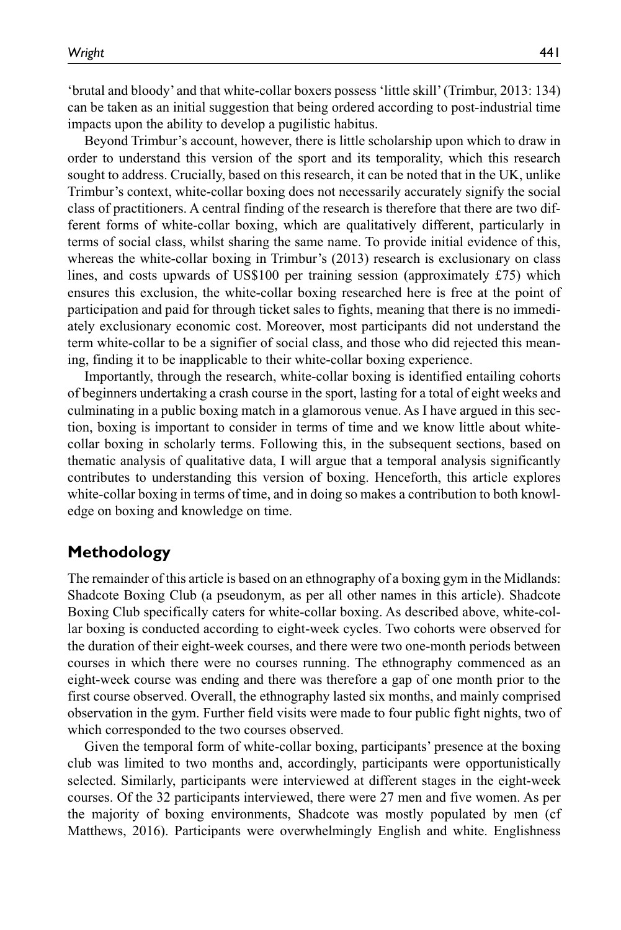'brutal and bloody' and that white-collar boxers possess 'little skill' (Trimbur, 2013: 134) can be taken as an initial suggestion that being ordered according to post-industrial time impacts upon the ability to develop a pugilistic habitus.

Beyond Trimbur's account, however, there is little scholarship upon which to draw in order to understand this version of the sport and its temporality, which this research sought to address. Crucially, based on this research, it can be noted that in the UK, unlike Trimbur's context, white-collar boxing does not necessarily accurately signify the social class of practitioners. A central finding of the research is therefore that there are two different forms of white-collar boxing, which are qualitatively different, particularly in terms of social class, whilst sharing the same name. To provide initial evidence of this, whereas the white-collar boxing in Trimbur's (2013) research is exclusionary on class lines, and costs upwards of US\$100 per training session (approximately £75) which ensures this exclusion, the white-collar boxing researched here is free at the point of participation and paid for through ticket sales to fights, meaning that there is no immediately exclusionary economic cost. Moreover, most participants did not understand the term white-collar to be a signifier of social class, and those who did rejected this meaning, finding it to be inapplicable to their white-collar boxing experience.

Importantly, through the research, white-collar boxing is identified entailing cohorts of beginners undertaking a crash course in the sport, lasting for a total of eight weeks and culminating in a public boxing match in a glamorous venue. As I have argued in this section, boxing is important to consider in terms of time and we know little about whitecollar boxing in scholarly terms. Following this, in the subsequent sections, based on thematic analysis of qualitative data, I will argue that a temporal analysis significantly contributes to understanding this version of boxing. Henceforth, this article explores white-collar boxing in terms of time, and in doing so makes a contribution to both knowledge on boxing and knowledge on time.

#### **Methodology**

The remainder of this article is based on an ethnography of a boxing gym in the Midlands: Shadcote Boxing Club (a pseudonym, as per all other names in this article). Shadcote Boxing Club specifically caters for white-collar boxing. As described above, white-collar boxing is conducted according to eight-week cycles. Two cohorts were observed for the duration of their eight-week courses, and there were two one-month periods between courses in which there were no courses running. The ethnography commenced as an eight-week course was ending and there was therefore a gap of one month prior to the first course observed. Overall, the ethnography lasted six months, and mainly comprised observation in the gym. Further field visits were made to four public fight nights, two of which corresponded to the two courses observed.

Given the temporal form of white-collar boxing, participants' presence at the boxing club was limited to two months and, accordingly, participants were opportunistically selected. Similarly, participants were interviewed at different stages in the eight-week courses. Of the 32 participants interviewed, there were 27 men and five women. As per the majority of boxing environments, Shadcote was mostly populated by men (cf Matthews, 2016). Participants were overwhelmingly English and white. Englishness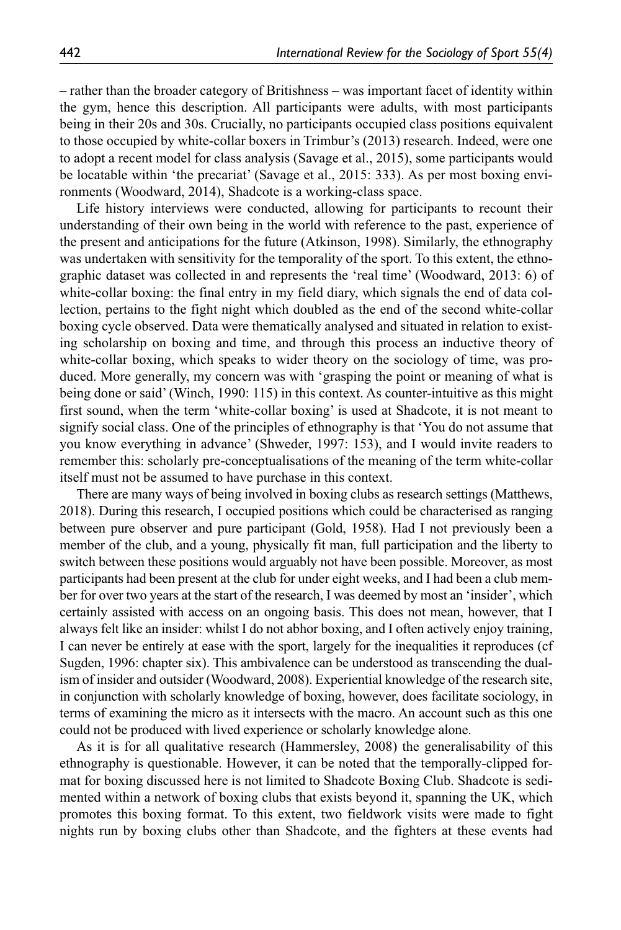– rather than the broader category of Britishness – was important facet of identity within the gym, hence this description. All participants were adults, with most participants being in their 20s and 30s. Crucially, no participants occupied class positions equivalent to those occupied by white-collar boxers in Trimbur's (2013) research. Indeed, were one to adopt a recent model for class analysis (Savage et al., 2015), some participants would be locatable within 'the precariat' (Savage et al., 2015: 333). As per most boxing environments (Woodward, 2014), Shadcote is a working-class space.

Life history interviews were conducted, allowing for participants to recount their understanding of their own being in the world with reference to the past, experience of the present and anticipations for the future (Atkinson, 1998). Similarly, the ethnography was undertaken with sensitivity for the temporality of the sport. To this extent, the ethnographic dataset was collected in and represents the 'real time' (Woodward, 2013: 6) of white-collar boxing: the final entry in my field diary, which signals the end of data collection, pertains to the fight night which doubled as the end of the second white-collar boxing cycle observed. Data were thematically analysed and situated in relation to existing scholarship on boxing and time, and through this process an inductive theory of white-collar boxing, which speaks to wider theory on the sociology of time, was produced. More generally, my concern was with 'grasping the point or meaning of what is being done or said' (Winch, 1990: 115) in this context. As counter-intuitive as this might first sound, when the term 'white-collar boxing' is used at Shadcote, it is not meant to signify social class. One of the principles of ethnography is that 'You do not assume that you know everything in advance' (Shweder, 1997: 153), and I would invite readers to remember this: scholarly pre-conceptualisations of the meaning of the term white-collar itself must not be assumed to have purchase in this context.

There are many ways of being involved in boxing clubs as research settings (Matthews, 2018). During this research, I occupied positions which could be characterised as ranging between pure observer and pure participant (Gold, 1958). Had I not previously been a member of the club, and a young, physically fit man, full participation and the liberty to switch between these positions would arguably not have been possible. Moreover, as most participants had been present at the club for under eight weeks, and I had been a club member for over two years at the start of the research, I was deemed by most an 'insider', which certainly assisted with access on an ongoing basis. This does not mean, however, that I always felt like an insider: whilst I do not abhor boxing, and I often actively enjoy training, I can never be entirely at ease with the sport, largely for the inequalities it reproduces (cf Sugden, 1996: chapter six). This ambivalence can be understood as transcending the dualism of insider and outsider (Woodward, 2008). Experiential knowledge of the research site, in conjunction with scholarly knowledge of boxing, however, does facilitate sociology, in terms of examining the micro as it intersects with the macro. An account such as this one could not be produced with lived experience or scholarly knowledge alone.

As it is for all qualitative research (Hammersley, 2008) the generalisability of this ethnography is questionable. However, it can be noted that the temporally-clipped format for boxing discussed here is not limited to Shadcote Boxing Club. Shadcote is sedimented within a network of boxing clubs that exists beyond it, spanning the UK, which promotes this boxing format. To this extent, two fieldwork visits were made to fight nights run by boxing clubs other than Shadcote, and the fighters at these events had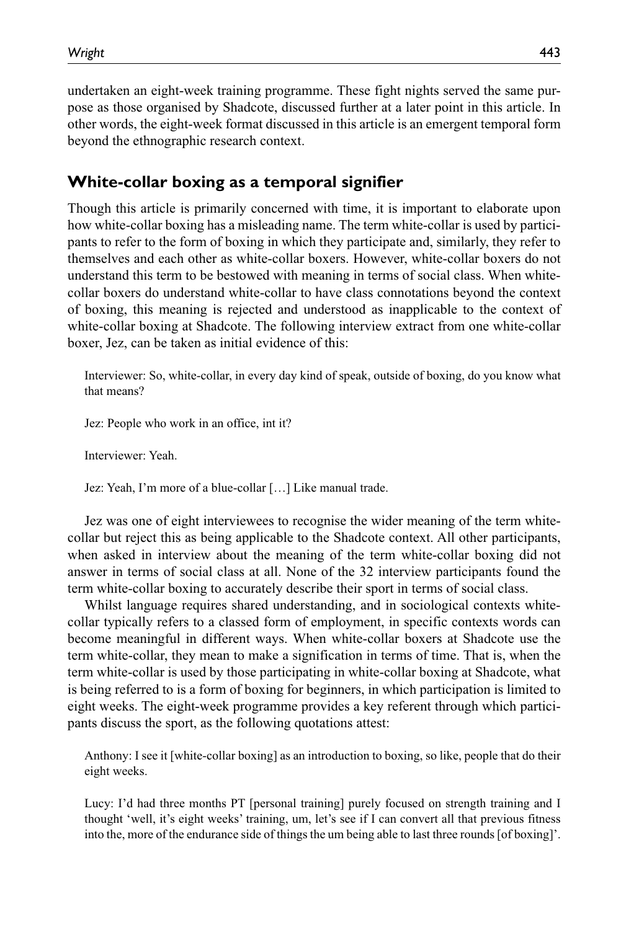undertaken an eight-week training programme. These fight nights served the same purpose as those organised by Shadcote, discussed further at a later point in this article. In other words, the eight-week format discussed in this article is an emergent temporal form beyond the ethnographic research context.

### **White-collar boxing as a temporal signifier**

Though this article is primarily concerned with time, it is important to elaborate upon how white-collar boxing has a misleading name. The term white-collar is used by participants to refer to the form of boxing in which they participate and, similarly, they refer to themselves and each other as white-collar boxers. However, white-collar boxers do not understand this term to be bestowed with meaning in terms of social class. When whitecollar boxers do understand white-collar to have class connotations beyond the context of boxing, this meaning is rejected and understood as inapplicable to the context of white-collar boxing at Shadcote. The following interview extract from one white-collar boxer, Jez, can be taken as initial evidence of this:

Interviewer: So, white-collar, in every day kind of speak, outside of boxing, do you know what that means?

Jez: People who work in an office, int it?

Interviewer: Yeah.

Jez: Yeah, I'm more of a blue-collar […] Like manual trade.

Jez was one of eight interviewees to recognise the wider meaning of the term whitecollar but reject this as being applicable to the Shadcote context. All other participants, when asked in interview about the meaning of the term white-collar boxing did not answer in terms of social class at all. None of the 32 interview participants found the term white-collar boxing to accurately describe their sport in terms of social class.

Whilst language requires shared understanding, and in sociological contexts whitecollar typically refers to a classed form of employment, in specific contexts words can become meaningful in different ways. When white-collar boxers at Shadcote use the term white-collar, they mean to make a signification in terms of time. That is, when the term white-collar is used by those participating in white-collar boxing at Shadcote, what is being referred to is a form of boxing for beginners, in which participation is limited to eight weeks. The eight-week programme provides a key referent through which participants discuss the sport, as the following quotations attest:

Anthony: I see it [white-collar boxing] as an introduction to boxing, so like, people that do their eight weeks.

Lucy: I'd had three months PT [personal training] purely focused on strength training and I thought 'well, it's eight weeks' training, um, let's see if I can convert all that previous fitness into the, more of the endurance side of things the um being able to last three rounds [of boxing]'.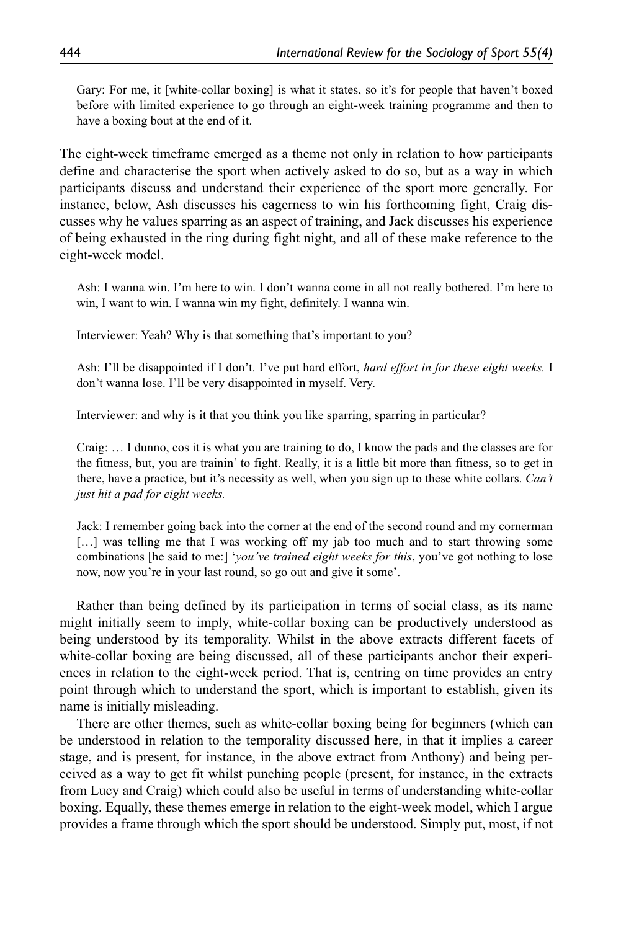Gary: For me, it [white-collar boxing] is what it states, so it's for people that haven't boxed before with limited experience to go through an eight-week training programme and then to have a boxing bout at the end of it.

The eight-week timeframe emerged as a theme not only in relation to how participants define and characterise the sport when actively asked to do so, but as a way in which participants discuss and understand their experience of the sport more generally. For instance, below, Ash discusses his eagerness to win his forthcoming fight, Craig discusses why he values sparring as an aspect of training, and Jack discusses his experience of being exhausted in the ring during fight night, and all of these make reference to the eight-week model.

Ash: I wanna win. I'm here to win. I don't wanna come in all not really bothered. I'm here to win, I want to win. I wanna win my fight, definitely. I wanna win.

Interviewer: Yeah? Why is that something that's important to you?

Ash: I'll be disappointed if I don't. I've put hard effort, *hard effort in for these eight weeks.* I don't wanna lose. I'll be very disappointed in myself. Very.

Interviewer: and why is it that you think you like sparring, sparring in particular?

Craig: … I dunno, cos it is what you are training to do, I know the pads and the classes are for the fitness, but, you are trainin' to fight. Really, it is a little bit more than fitness, so to get in there, have a practice, but it's necessity as well, when you sign up to these white collars. *Can't just hit a pad for eight weeks.*

Jack: I remember going back into the corner at the end of the second round and my cornerman […] was telling me that I was working off my jab too much and to start throwing some combinations [he said to me:] '*you've trained eight weeks for this*, you've got nothing to lose now, now you're in your last round, so go out and give it some'.

Rather than being defined by its participation in terms of social class, as its name might initially seem to imply, white-collar boxing can be productively understood as being understood by its temporality. Whilst in the above extracts different facets of white-collar boxing are being discussed, all of these participants anchor their experiences in relation to the eight-week period. That is, centring on time provides an entry point through which to understand the sport, which is important to establish, given its name is initially misleading.

There are other themes, such as white-collar boxing being for beginners (which can be understood in relation to the temporality discussed here, in that it implies a career stage, and is present, for instance, in the above extract from Anthony) and being perceived as a way to get fit whilst punching people (present, for instance, in the extracts from Lucy and Craig) which could also be useful in terms of understanding white-collar boxing. Equally, these themes emerge in relation to the eight-week model, which I argue provides a frame through which the sport should be understood. Simply put, most, if not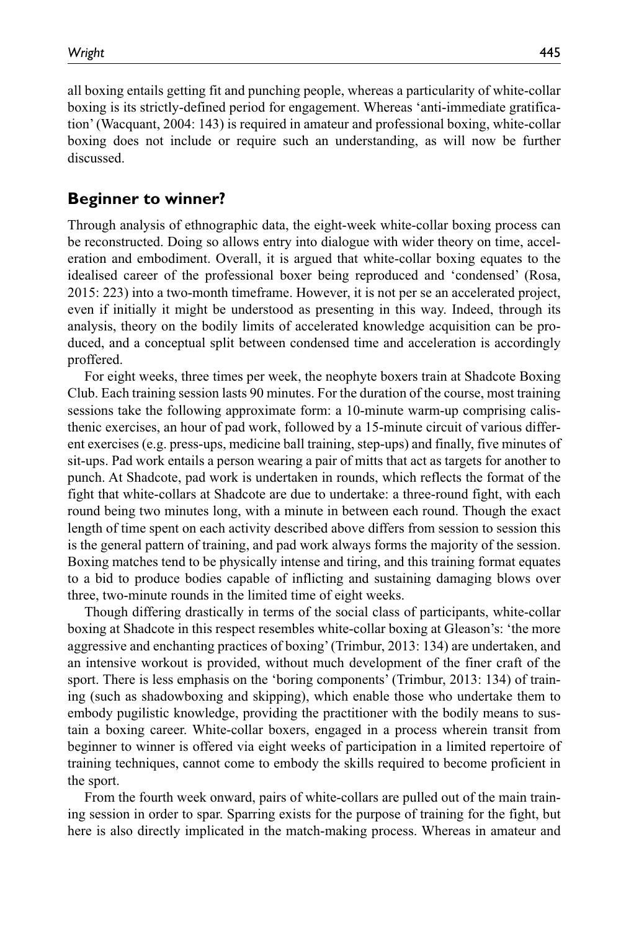all boxing entails getting fit and punching people, whereas a particularity of white-collar boxing is its strictly-defined period for engagement. Whereas 'anti-immediate gratification' (Wacquant, 2004: 143) is required in amateur and professional boxing, white-collar boxing does not include or require such an understanding, as will now be further discussed.

#### **Beginner to winner?**

Through analysis of ethnographic data, the eight-week white-collar boxing process can be reconstructed. Doing so allows entry into dialogue with wider theory on time, acceleration and embodiment. Overall, it is argued that white-collar boxing equates to the idealised career of the professional boxer being reproduced and 'condensed' (Rosa, 2015: 223) into a two-month timeframe. However, it is not per se an accelerated project, even if initially it might be understood as presenting in this way. Indeed, through its analysis, theory on the bodily limits of accelerated knowledge acquisition can be produced, and a conceptual split between condensed time and acceleration is accordingly proffered.

For eight weeks, three times per week, the neophyte boxers train at Shadcote Boxing Club. Each training session lasts 90 minutes. For the duration of the course, most training sessions take the following approximate form: a 10-minute warm-up comprising calisthenic exercises, an hour of pad work, followed by a 15-minute circuit of various different exercises (e.g. press-ups, medicine ball training, step-ups) and finally, five minutes of sit-ups. Pad work entails a person wearing a pair of mitts that act as targets for another to punch. At Shadcote, pad work is undertaken in rounds, which reflects the format of the fight that white-collars at Shadcote are due to undertake: a three-round fight, with each round being two minutes long, with a minute in between each round. Though the exact length of time spent on each activity described above differs from session to session this is the general pattern of training, and pad work always forms the majority of the session. Boxing matches tend to be physically intense and tiring, and this training format equates to a bid to produce bodies capable of inflicting and sustaining damaging blows over three, two-minute rounds in the limited time of eight weeks.

Though differing drastically in terms of the social class of participants, white-collar boxing at Shadcote in this respect resembles white-collar boxing at Gleason's: 'the more aggressive and enchanting practices of boxing' (Trimbur, 2013: 134) are undertaken, and an intensive workout is provided, without much development of the finer craft of the sport. There is less emphasis on the 'boring components' (Trimbur, 2013: 134) of training (such as shadowboxing and skipping), which enable those who undertake them to embody pugilistic knowledge, providing the practitioner with the bodily means to sustain a boxing career. White-collar boxers, engaged in a process wherein transit from beginner to winner is offered via eight weeks of participation in a limited repertoire of training techniques, cannot come to embody the skills required to become proficient in the sport.

From the fourth week onward, pairs of white-collars are pulled out of the main training session in order to spar. Sparring exists for the purpose of training for the fight, but here is also directly implicated in the match-making process. Whereas in amateur and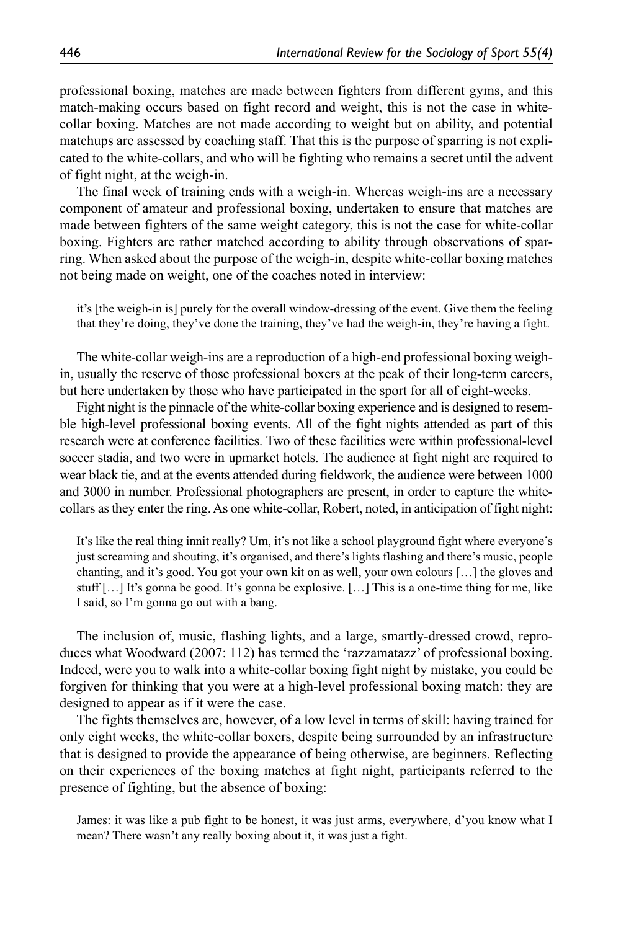professional boxing, matches are made between fighters from different gyms, and this match-making occurs based on fight record and weight, this is not the case in whitecollar boxing. Matches are not made according to weight but on ability, and potential matchups are assessed by coaching staff. That this is the purpose of sparring is not explicated to the white-collars, and who will be fighting who remains a secret until the advent of fight night, at the weigh-in.

The final week of training ends with a weigh-in. Whereas weigh-ins are a necessary component of amateur and professional boxing, undertaken to ensure that matches are made between fighters of the same weight category, this is not the case for white-collar boxing. Fighters are rather matched according to ability through observations of sparring. When asked about the purpose of the weigh-in, despite white-collar boxing matches not being made on weight, one of the coaches noted in interview:

it's [the weigh-in is] purely for the overall window-dressing of the event. Give them the feeling that they're doing, they've done the training, they've had the weigh-in, they're having a fight.

The white-collar weigh-ins are a reproduction of a high-end professional boxing weighin, usually the reserve of those professional boxers at the peak of their long-term careers, but here undertaken by those who have participated in the sport for all of eight-weeks.

Fight night is the pinnacle of the white-collar boxing experience and is designed to resemble high-level professional boxing events. All of the fight nights attended as part of this research were at conference facilities. Two of these facilities were within professional-level soccer stadia, and two were in upmarket hotels. The audience at fight night are required to wear black tie, and at the events attended during fieldwork, the audience were between 1000 and 3000 in number. Professional photographers are present, in order to capture the whitecollars as they enter the ring. As one white-collar, Robert, noted, in anticipation of fight night:

It's like the real thing innit really? Um, it's not like a school playground fight where everyone's just screaming and shouting, it's organised, and there's lights flashing and there's music, people chanting, and it's good. You got your own kit on as well, your own colours […] the gloves and stuff […] It's gonna be good. It's gonna be explosive. […] This is a one-time thing for me, like I said, so I'm gonna go out with a bang.

The inclusion of, music, flashing lights, and a large, smartly-dressed crowd, reproduces what Woodward (2007: 112) has termed the 'razzamatazz' of professional boxing. Indeed, were you to walk into a white-collar boxing fight night by mistake, you could be forgiven for thinking that you were at a high-level professional boxing match: they are designed to appear as if it were the case.

The fights themselves are, however, of a low level in terms of skill: having trained for only eight weeks, the white-collar boxers, despite being surrounded by an infrastructure that is designed to provide the appearance of being otherwise, are beginners. Reflecting on their experiences of the boxing matches at fight night, participants referred to the presence of fighting, but the absence of boxing:

James: it was like a pub fight to be honest, it was just arms, everywhere, d'you know what I mean? There wasn't any really boxing about it, it was just a fight.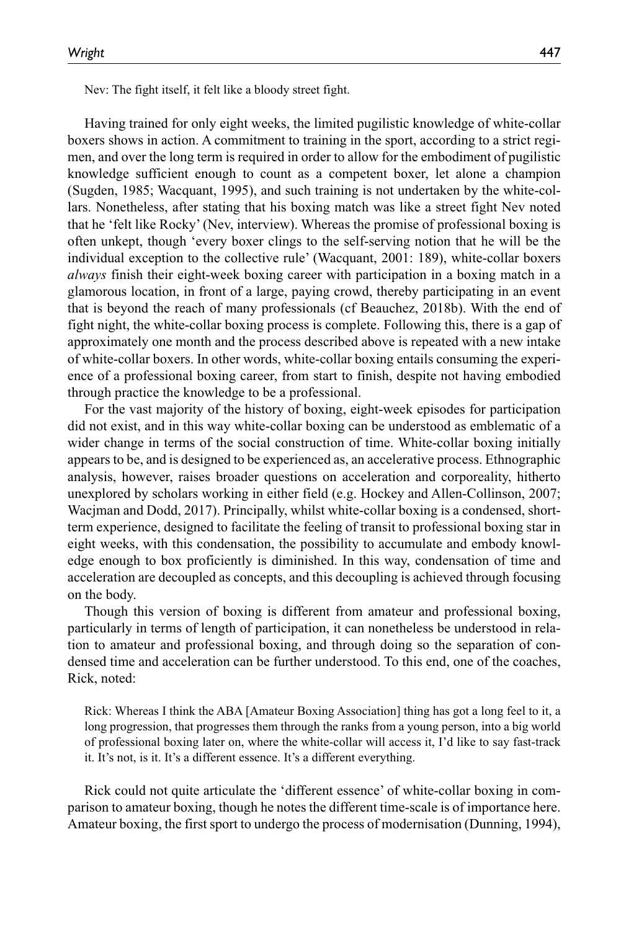Nev: The fight itself, it felt like a bloody street fight.

Having trained for only eight weeks, the limited pugilistic knowledge of white-collar boxers shows in action. A commitment to training in the sport, according to a strict regimen, and over the long term is required in order to allow for the embodiment of pugilistic knowledge sufficient enough to count as a competent boxer, let alone a champion (Sugden, 1985; Wacquant, 1995), and such training is not undertaken by the white-collars. Nonetheless, after stating that his boxing match was like a street fight Nev noted that he 'felt like Rocky' (Nev, interview). Whereas the promise of professional boxing is often unkept, though 'every boxer clings to the self-serving notion that he will be the individual exception to the collective rule' (Wacquant, 2001: 189), white-collar boxers *always* finish their eight-week boxing career with participation in a boxing match in a glamorous location, in front of a large, paying crowd, thereby participating in an event that is beyond the reach of many professionals (cf Beauchez, 2018b). With the end of fight night, the white-collar boxing process is complete. Following this, there is a gap of approximately one month and the process described above is repeated with a new intake of white-collar boxers. In other words, white-collar boxing entails consuming the experience of a professional boxing career, from start to finish, despite not having embodied through practice the knowledge to be a professional.

For the vast majority of the history of boxing, eight-week episodes for participation did not exist, and in this way white-collar boxing can be understood as emblematic of a wider change in terms of the social construction of time. White-collar boxing initially appears to be, and is designed to be experienced as, an accelerative process. Ethnographic analysis, however, raises broader questions on acceleration and corporeality, hitherto unexplored by scholars working in either field (e.g. Hockey and Allen-Collinson, 2007; Wacjman and Dodd, 2017). Principally, whilst white-collar boxing is a condensed, shortterm experience, designed to facilitate the feeling of transit to professional boxing star in eight weeks, with this condensation, the possibility to accumulate and embody knowledge enough to box proficiently is diminished. In this way, condensation of time and acceleration are decoupled as concepts, and this decoupling is achieved through focusing on the body.

Though this version of boxing is different from amateur and professional boxing, particularly in terms of length of participation, it can nonetheless be understood in relation to amateur and professional boxing, and through doing so the separation of condensed time and acceleration can be further understood. To this end, one of the coaches, Rick, noted:

Rick: Whereas I think the ABA [Amateur Boxing Association] thing has got a long feel to it, a long progression, that progresses them through the ranks from a young person, into a big world of professional boxing later on, where the white-collar will access it, I'd like to say fast-track it. It's not, is it. It's a different essence. It's a different everything.

Rick could not quite articulate the 'different essence' of white-collar boxing in comparison to amateur boxing, though he notes the different time-scale is of importance here. Amateur boxing, the first sport to undergo the process of modernisation (Dunning, 1994),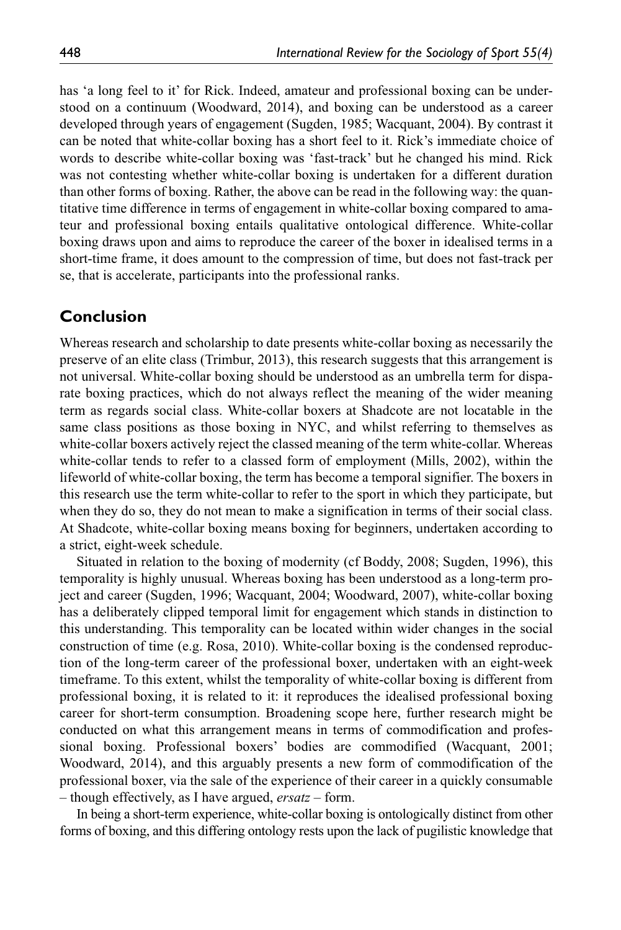has 'a long feel to it' for Rick. Indeed, amateur and professional boxing can be understood on a continuum (Woodward, 2014), and boxing can be understood as a career developed through years of engagement (Sugden, 1985; Wacquant, 2004). By contrast it can be noted that white-collar boxing has a short feel to it. Rick's immediate choice of words to describe white-collar boxing was 'fast-track' but he changed his mind. Rick was not contesting whether white-collar boxing is undertaken for a different duration than other forms of boxing. Rather, the above can be read in the following way: the quantitative time difference in terms of engagement in white-collar boxing compared to amateur and professional boxing entails qualitative ontological difference. White-collar boxing draws upon and aims to reproduce the career of the boxer in idealised terms in a short-time frame, it does amount to the compression of time, but does not fast-track per se, that is accelerate, participants into the professional ranks.

#### **Conclusion**

Whereas research and scholarship to date presents white-collar boxing as necessarily the preserve of an elite class (Trimbur, 2013), this research suggests that this arrangement is not universal. White-collar boxing should be understood as an umbrella term for disparate boxing practices, which do not always reflect the meaning of the wider meaning term as regards social class. White-collar boxers at Shadcote are not locatable in the same class positions as those boxing in NYC, and whilst referring to themselves as white-collar boxers actively reject the classed meaning of the term white-collar. Whereas white-collar tends to refer to a classed form of employment (Mills, 2002), within the lifeworld of white-collar boxing, the term has become a temporal signifier. The boxers in this research use the term white-collar to refer to the sport in which they participate, but when they do so, they do not mean to make a signification in terms of their social class. At Shadcote, white-collar boxing means boxing for beginners, undertaken according to a strict, eight-week schedule.

Situated in relation to the boxing of modernity (cf Boddy, 2008; Sugden, 1996), this temporality is highly unusual. Whereas boxing has been understood as a long-term project and career (Sugden, 1996; Wacquant, 2004; Woodward, 2007), white-collar boxing has a deliberately clipped temporal limit for engagement which stands in distinction to this understanding. This temporality can be located within wider changes in the social construction of time (e.g. Rosa, 2010). White-collar boxing is the condensed reproduction of the long-term career of the professional boxer, undertaken with an eight-week timeframe. To this extent, whilst the temporality of white-collar boxing is different from professional boxing, it is related to it: it reproduces the idealised professional boxing career for short-term consumption. Broadening scope here, further research might be conducted on what this arrangement means in terms of commodification and professional boxing. Professional boxers' bodies are commodified (Wacquant, 2001; Woodward, 2014), and this arguably presents a new form of commodification of the professional boxer, via the sale of the experience of their career in a quickly consumable – though effectively, as I have argued, *ersatz* – form.

In being a short-term experience, white-collar boxing is ontologically distinct from other forms of boxing, and this differing ontology rests upon the lack of pugilistic knowledge that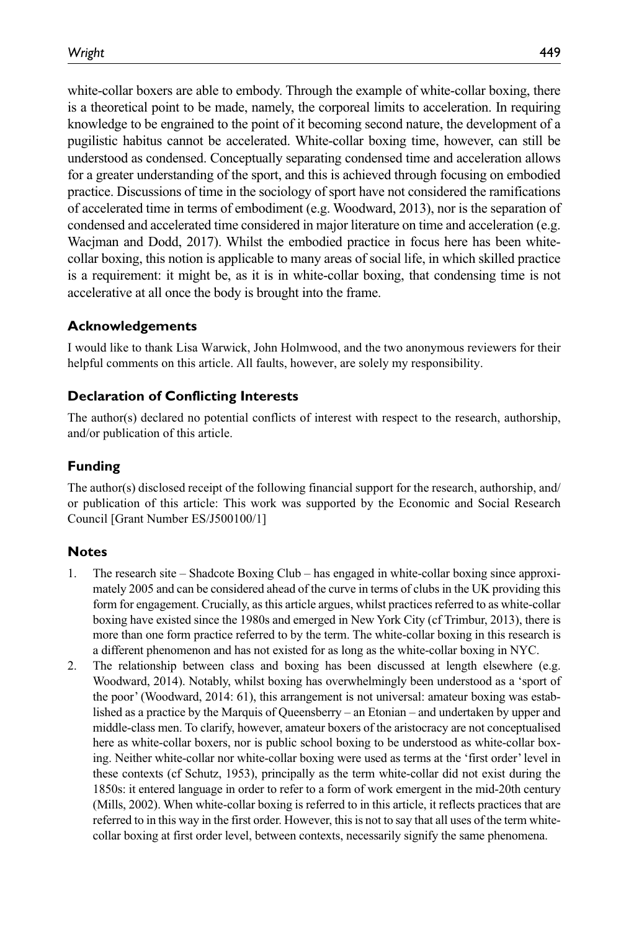white-collar boxers are able to embody. Through the example of white-collar boxing, there is a theoretical point to be made, namely, the corporeal limits to acceleration. In requiring knowledge to be engrained to the point of it becoming second nature, the development of a pugilistic habitus cannot be accelerated. White-collar boxing time, however, can still be understood as condensed. Conceptually separating condensed time and acceleration allows for a greater understanding of the sport, and this is achieved through focusing on embodied practice. Discussions of time in the sociology of sport have not considered the ramifications of accelerated time in terms of embodiment (e.g. Woodward, 2013), nor is the separation of condensed and accelerated time considered in major literature on time and acceleration (e.g. Wacjman and Dodd, 2017). Whilst the embodied practice in focus here has been whitecollar boxing, this notion is applicable to many areas of social life, in which skilled practice is a requirement: it might be, as it is in white-collar boxing, that condensing time is not accelerative at all once the body is brought into the frame.

#### **Acknowledgements**

I would like to thank Lisa Warwick, John Holmwood, and the two anonymous reviewers for their helpful comments on this article. All faults, however, are solely my responsibility.

#### **Declaration of Conflicting Interests**

The author(s) declared no potential conflicts of interest with respect to the research, authorship, and/or publication of this article.

#### **Funding**

The author(s) disclosed receipt of the following financial support for the research, authorship, and/ or publication of this article: This work was supported by the Economic and Social Research Council [Grant Number ES/J500100/1]

#### **Notes**

- 1. The research site Shadcote Boxing Club has engaged in white-collar boxing since approximately 2005 and can be considered ahead of the curve in terms of clubs in the UK providing this form for engagement. Crucially, as this article argues, whilst practices referred to as white-collar boxing have existed since the 1980s and emerged in New York City (cf Trimbur, 2013), there is more than one form practice referred to by the term. The white-collar boxing in this research is a different phenomenon and has not existed for as long as the white-collar boxing in NYC.
- 2. The relationship between class and boxing has been discussed at length elsewhere (e.g. Woodward, 2014). Notably, whilst boxing has overwhelmingly been understood as a 'sport of the poor' (Woodward, 2014: 61), this arrangement is not universal: amateur boxing was established as a practice by the Marquis of Queensberry – an Etonian – and undertaken by upper and middle-class men. To clarify, however, amateur boxers of the aristocracy are not conceptualised here as white-collar boxers, nor is public school boxing to be understood as white-collar boxing. Neither white-collar nor white-collar boxing were used as terms at the 'first order' level in these contexts (cf Schutz, 1953), principally as the term white-collar did not exist during the 1850s: it entered language in order to refer to a form of work emergent in the mid-20th century (Mills, 2002). When white-collar boxing is referred to in this article, it reflects practices that are referred to in this way in the first order. However, this is not to say that all uses of the term whitecollar boxing at first order level, between contexts, necessarily signify the same phenomena.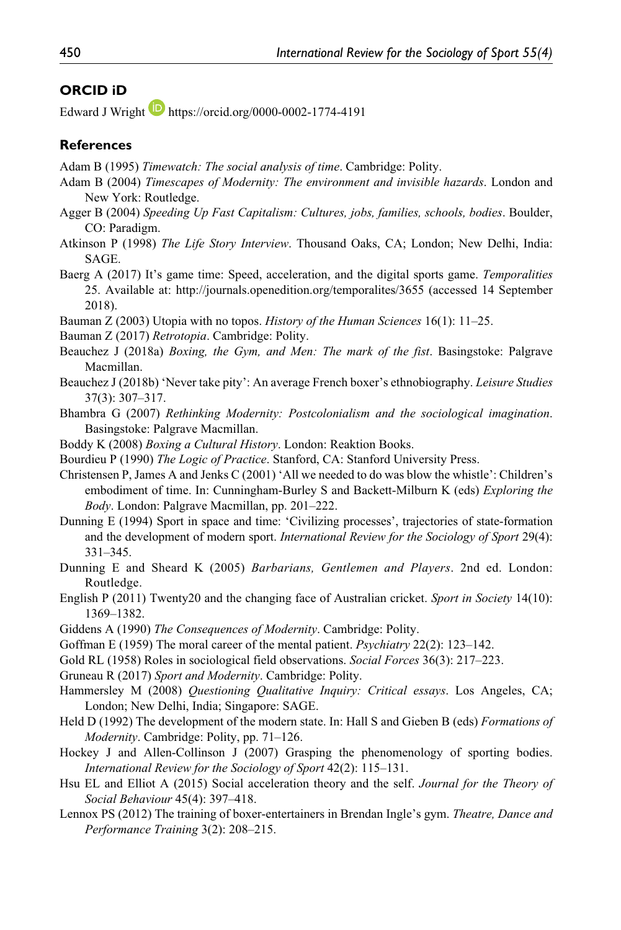#### **ORCID iD**

Edward J Wright  $\Box$  <https://orcid.org/0000-0002-1774-4191>

#### **References**

- Adam B (1995) *Timewatch: The social analysis of time*. Cambridge: Polity.
- Adam B (2004) *Timescapes of Modernity: The environment and invisible hazards*. London and New York: Routledge.
- Agger B (2004) *Speeding Up Fast Capitalism: Cultures, jobs, families, schools, bodies*. Boulder, CO: Paradigm.
- Atkinson P (1998) *The Life Story Interview*. Thousand Oaks, CA; London; New Delhi, India: SAGE.
- Baerg A (2017) It's game time: Speed, acceleration, and the digital sports game. *Temporalities* 25. Available at: <http://journals.openedition.org/temporalites/3655> (accessed 14 September 2018).
- Bauman Z (2003) Utopia with no topos. *History of the Human Sciences* 16(1): 11–25.
- Bauman Z (2017) *Retrotopia*. Cambridge: Polity.
- Beauchez J (2018a) *Boxing, the Gym, and Men: The mark of the fist*. Basingstoke: Palgrave Macmillan.
- Beauchez J (2018b) 'Never take pity': An average French boxer's ethnobiography. *Leisure Studies* 37(3): 307–317.
- Bhambra G (2007) *Rethinking Modernity: Postcolonialism and the sociological imagination*. Basingstoke: Palgrave Macmillan.
- Boddy K (2008) *Boxing a Cultural History*. London: Reaktion Books.
- Bourdieu P (1990) *The Logic of Practice*. Stanford, CA: Stanford University Press.
- Christensen P, James A and Jenks C (2001) 'All we needed to do was blow the whistle': Children's embodiment of time. In: Cunningham-Burley S and Backett-Milburn K (eds) *Exploring the Body*. London: Palgrave Macmillan, pp. 201–222.
- Dunning E (1994) Sport in space and time: 'Civilizing processes', trajectories of state-formation and the development of modern sport. *International Review for the Sociology of Sport* 29(4): 331–345.
- Dunning E and Sheard K (2005) *Barbarians, Gentlemen and Players*. 2nd ed. London: Routledge.
- English P (2011) Twenty20 and the changing face of Australian cricket. *Sport in Society* 14(10): 1369–1382.
- Giddens A (1990) *The Consequences of Modernity*. Cambridge: Polity.
- Goffman E (1959) The moral career of the mental patient. *Psychiatry* 22(2): 123–142.
- Gold RL (1958) Roles in sociological field observations. *Social Forces* 36(3): 217–223.
- Gruneau R (2017) *Sport and Modernity*. Cambridge: Polity.
- Hammersley M (2008) *Questioning Qualitative Inquiry: Critical essays*. Los Angeles, CA; London; New Delhi, India; Singapore: SAGE.
- Held D (1992) The development of the modern state. In: Hall S and Gieben B (eds) *Formations of Modernity*. Cambridge: Polity, pp. 71–126.
- Hockey J and Allen-Collinson J (2007) Grasping the phenomenology of sporting bodies. *International Review for the Sociology of Sport* 42(2): 115–131.
- Hsu EL and Elliot A (2015) Social acceleration theory and the self. *Journal for the Theory of Social Behaviour* 45(4): 397–418.
- Lennox PS (2012) The training of boxer-entertainers in Brendan Ingle's gym. *Theatre, Dance and Performance Training* 3(2): 208–215.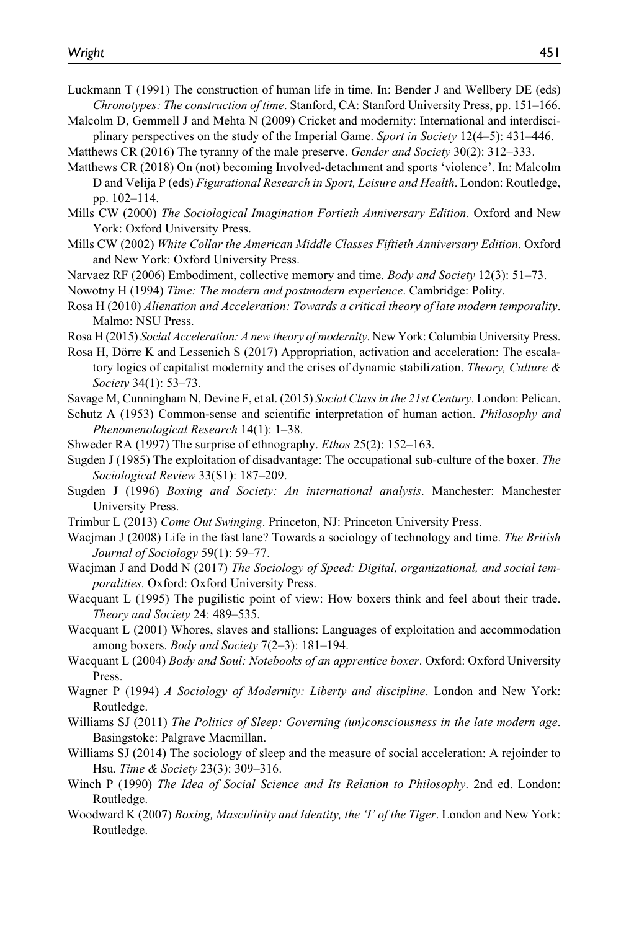- Luckmann T (1991) The construction of human life in time. In: Bender J and Wellbery DE (eds) *Chronotypes: The construction of time*. Stanford, CA: Stanford University Press, pp. 151–166.
- Malcolm D, Gemmell J and Mehta N (2009) Cricket and modernity: International and interdisciplinary perspectives on the study of the Imperial Game. *Sport in Society* 12(4–5): 431–446.
- Matthews CR (2016) The tyranny of the male preserve. *Gender and Society* 30(2): 312–333.
- Matthews CR (2018) On (not) becoming Involved-detachment and sports 'violence'. In: Malcolm D and Velija P (eds) *Figurational Research in Sport, Leisure and Health*. London: Routledge, pp. 102–114.
- Mills CW (2000) *The Sociological Imagination Fortieth Anniversary Edition*. Oxford and New York: Oxford University Press.
- Mills CW (2002) *White Collar the American Middle Classes Fiftieth Anniversary Edition*. Oxford and New York: Oxford University Press.
- Narvaez RF (2006) Embodiment, collective memory and time. *Body and Society* 12(3): 51–73.
- Nowotny H (1994) *Time: The modern and postmodern experience*. Cambridge: Polity.
- Rosa H (2010) *Alienation and Acceleration: Towards a critical theory of late modern temporality*. Malmo: NSU Press.
- Rosa H (2015) *Social Acceleration: A new theory of modernity*. New York: Columbia University Press.
- Rosa H, Dörre K and Lessenich S (2017) Appropriation, activation and acceleration: The escalatory logics of capitalist modernity and the crises of dynamic stabilization. *Theory, Culture & Society* 34(1): 53–73.
- Savage M, Cunningham N, Devine F, et al. (2015) *Social Class in the 21st Century*. London: Pelican.
- Schutz A (1953) Common-sense and scientific interpretation of human action. *Philosophy and Phenomenological Research* 14(1): 1–38.
- Shweder RA (1997) The surprise of ethnography. *Ethos* 25(2): 152–163.
- Sugden J (1985) The exploitation of disadvantage: The occupational sub-culture of the boxer. *The Sociological Review* 33(S1): 187–209.
- Sugden J (1996) *Boxing and Society: An international analysis*. Manchester: Manchester University Press.
- Trimbur L (2013) *Come Out Swinging*. Princeton, NJ: Princeton University Press.
- Wacjman J (2008) Life in the fast lane? Towards a sociology of technology and time. *The British Journal of Sociology* 59(1): 59–77.
- Wacjman J and Dodd N (2017) *The Sociology of Speed: Digital, organizational, and social temporalities*. Oxford: Oxford University Press.
- Wacquant L (1995) The pugilistic point of view: How boxers think and feel about their trade. *Theory and Society* 24: 489–535.
- Wacquant L (2001) Whores, slaves and stallions: Languages of exploitation and accommodation among boxers. *Body and Society* 7(2–3): 181–194.
- Wacquant L (2004) *Body and Soul: Notebooks of an apprentice boxer*. Oxford: Oxford University Press.
- Wagner P (1994) *A Sociology of Modernity: Liberty and discipline*. London and New York: Routledge.
- Williams SJ (2011) *The Politics of Sleep: Governing (un)consciousness in the late modern age*. Basingstoke: Palgrave Macmillan.
- Williams SJ (2014) The sociology of sleep and the measure of social acceleration: A rejoinder to Hsu. *Time & Society* 23(3): 309–316.
- Winch P (1990) *The Idea of Social Science and Its Relation to Philosophy*. 2nd ed. London: Routledge.
- Woodward K (2007) *Boxing, Masculinity and Identity, the 'I' of the Tiger*. London and New York: Routledge.